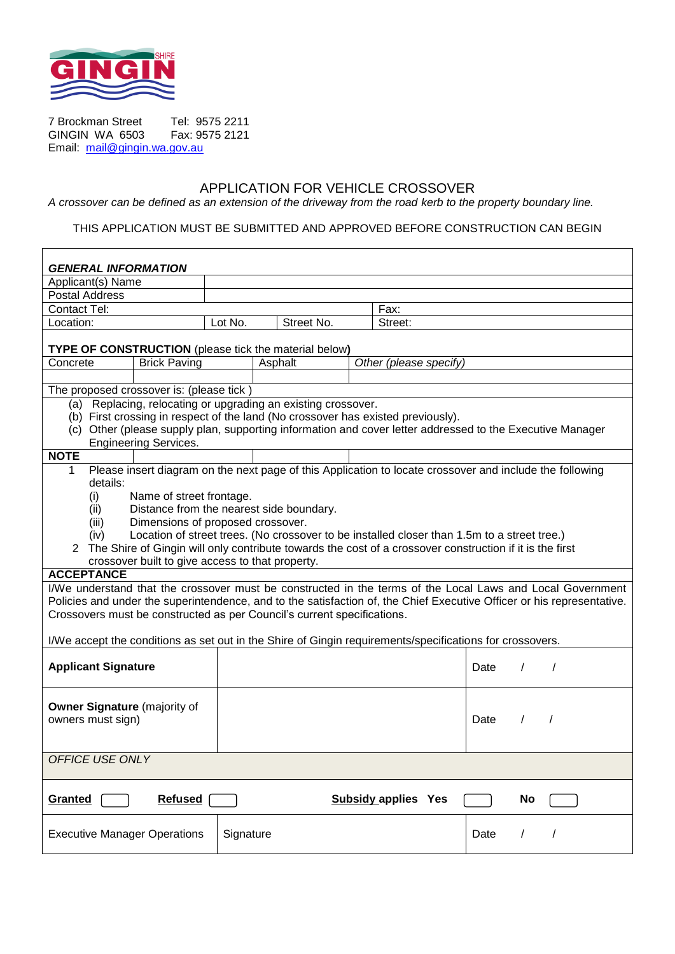

7 Brockman Street Tel: 9575 2211<br>GINGIN WA 6503 Fax: 9575 2121 **GINGIN WA 6503** Email: [mail@gingin.wa.gov.au](mailto:mail@gingin.wa.gov.au)

## APPLICATION FOR VEHICLE CROSSOVER

*A crossover can be defined as an extension of the driveway from the road kerb to the property boundary line.*

#### THIS APPLICATION MUST BE SUBMITTED AND APPROVED BEFORE CONSTRUCTION CAN BEGIN

| <b>GENERAL INFORMATION</b>                                                                                                                                                                                                                                                                                                                                                                                                                                                                                                              |                     |                       |         |  |                        |      |            |                          |
|-----------------------------------------------------------------------------------------------------------------------------------------------------------------------------------------------------------------------------------------------------------------------------------------------------------------------------------------------------------------------------------------------------------------------------------------------------------------------------------------------------------------------------------------|---------------------|-----------------------|---------|--|------------------------|------|------------|--------------------------|
| Applicant(s) Name                                                                                                                                                                                                                                                                                                                                                                                                                                                                                                                       |                     |                       |         |  |                        |      |            |                          |
| <b>Postal Address</b>                                                                                                                                                                                                                                                                                                                                                                                                                                                                                                                   |                     |                       |         |  |                        |      |            |                          |
| <b>Contact Tel:</b>                                                                                                                                                                                                                                                                                                                                                                                                                                                                                                                     |                     |                       |         |  | Fax:                   |      |            |                          |
| Location:                                                                                                                                                                                                                                                                                                                                                                                                                                                                                                                               |                     | Street No.<br>Lot No. |         |  | Street:                |      |            |                          |
| <b>TYPE OF CONSTRUCTION</b> (please tick the material below)                                                                                                                                                                                                                                                                                                                                                                                                                                                                            |                     |                       |         |  |                        |      |            |                          |
| Concrete                                                                                                                                                                                                                                                                                                                                                                                                                                                                                                                                | <b>Brick Paving</b> |                       | Asphalt |  | Other (please specify) |      |            |                          |
|                                                                                                                                                                                                                                                                                                                                                                                                                                                                                                                                         |                     |                       |         |  |                        |      |            |                          |
| The proposed crossover is: (please tick)                                                                                                                                                                                                                                                                                                                                                                                                                                                                                                |                     |                       |         |  |                        |      |            |                          |
| (a) Replacing, relocating or upgrading an existing crossover.<br>(b) First crossing in respect of the land (No crossover has existed previously).<br>(c) Other (please supply plan, supporting information and cover letter addressed to the Executive Manager<br><b>Engineering Services.</b>                                                                                                                                                                                                                                          |                     |                       |         |  |                        |      |            |                          |
| <b>NOTE</b>                                                                                                                                                                                                                                                                                                                                                                                                                                                                                                                             |                     |                       |         |  |                        |      |            |                          |
| Please insert diagram on the next page of this Application to locate crossover and include the following<br>1<br>details:<br>(i)<br>Name of street frontage.<br>Distance from the nearest side boundary.<br>(ii)<br>Dimensions of proposed crossover.<br>(iii)<br>Location of street trees. (No crossover to be installed closer than 1.5m to a street tree.)<br>(iv)<br>2 The Shire of Gingin will only contribute towards the cost of a crossover construction if it is the first<br>crossover built to give access to that property. |                     |                       |         |  |                        |      |            |                          |
| <b>ACCEPTANCE</b>                                                                                                                                                                                                                                                                                                                                                                                                                                                                                                                       |                     |                       |         |  |                        |      |            |                          |
| I/We understand that the crossover must be constructed in the terms of the Local Laws and Local Government<br>Policies and under the superintendence, and to the satisfaction of, the Chief Executive Officer or his representative.                                                                                                                                                                                                                                                                                                    |                     |                       |         |  |                        |      |            |                          |
| Crossovers must be constructed as per Council's current specifications.                                                                                                                                                                                                                                                                                                                                                                                                                                                                 |                     |                       |         |  |                        |      |            |                          |
| I/We accept the conditions as set out in the Shire of Gingin requirements/specifications for crossovers.                                                                                                                                                                                                                                                                                                                                                                                                                                |                     |                       |         |  |                        |      |            |                          |
| <b>Applicant Signature</b>                                                                                                                                                                                                                                                                                                                                                                                                                                                                                                              |                     |                       |         |  |                        | Date | $\sqrt{2}$ | $\overline{\phantom{a}}$ |
| <b>Owner Signature (majority of</b><br>owners must sign)                                                                                                                                                                                                                                                                                                                                                                                                                                                                                |                     |                       |         |  |                        | Date | $\prime$   | $\prime$                 |
| OFFICE USE ONLY                                                                                                                                                                                                                                                                                                                                                                                                                                                                                                                         |                     |                       |         |  |                        |      |            |                          |
| <b>Refused</b><br><b>Subsidy applies Yes</b><br>Granted<br>No                                                                                                                                                                                                                                                                                                                                                                                                                                                                           |                     |                       |         |  |                        |      |            |                          |
| <b>Executive Manager Operations</b>                                                                                                                                                                                                                                                                                                                                                                                                                                                                                                     |                     | Signature             |         |  |                        | Date | L          | $\prime$                 |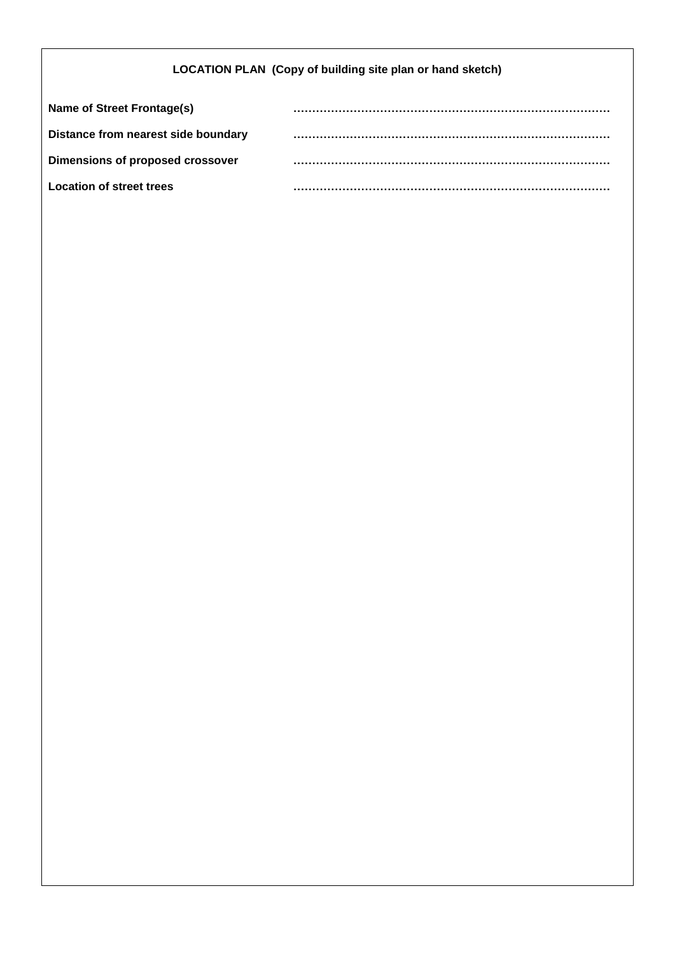## **LOCATION PLAN (Copy of building site plan or hand sketch)**

| Name of Street Frontage(s)          |  |
|-------------------------------------|--|
| Distance from nearest side boundary |  |
| Dimensions of proposed crossover    |  |
| Location of street trees            |  |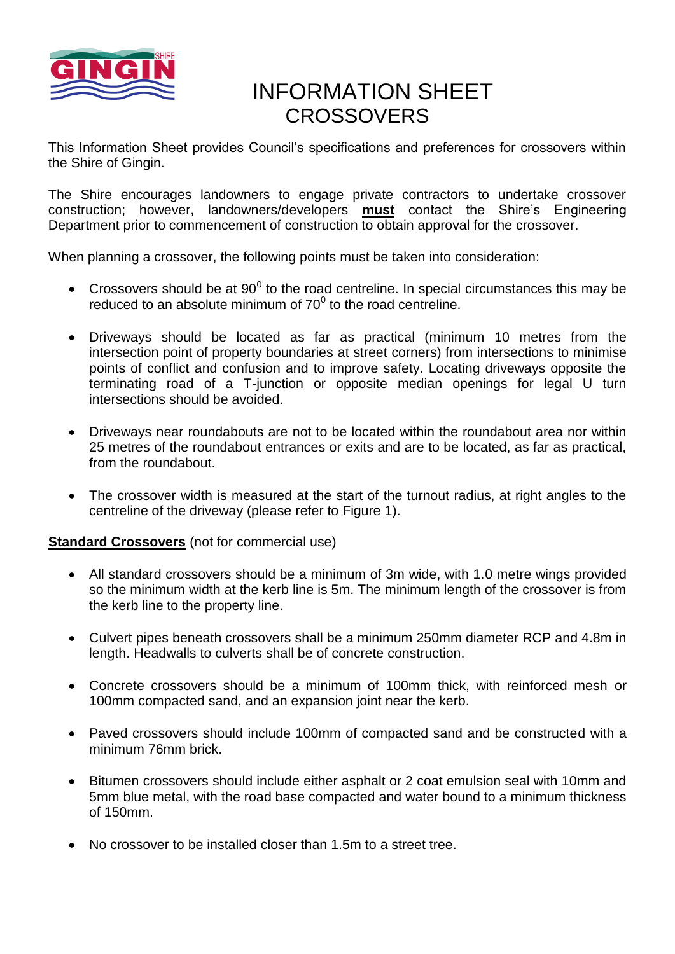

# INFORMATION SHEET **CROSSOVERS**

This Information Sheet provides Council's specifications and preferences for crossovers within the Shire of Gingin.

The Shire encourages landowners to engage private contractors to undertake crossover construction; however, landowners/developers **must** contact the Shire's Engineering Department prior to commencement of construction to obtain approval for the crossover.

When planning a crossover, the following points must be taken into consideration:

- Crossovers should be at 90 $^0$  to the road centreline. In special circumstances this may be reduced to an absolute minimum of  $70^0$  to the road centreline.
- Driveways should be located as far as practical (minimum 10 metres from the intersection point of property boundaries at street corners) from intersections to minimise points of conflict and confusion and to improve safety. Locating driveways opposite the terminating road of a T-junction or opposite median openings for legal U turn intersections should be avoided.
- Driveways near roundabouts are not to be located within the roundabout area nor within 25 metres of the roundabout entrances or exits and are to be located, as far as practical, from the roundabout.
- The crossover width is measured at the start of the turnout radius, at right angles to the centreline of the driveway (please refer to Figure 1).

**Standard Crossovers** (not for commercial use)

- All standard crossovers should be a minimum of 3m wide, with 1.0 metre wings provided so the minimum width at the kerb line is 5m. The minimum length of the crossover is from the kerb line to the property line.
- Culvert pipes beneath crossovers shall be a minimum 250mm diameter RCP and 4.8m in length. Headwalls to culverts shall be of concrete construction.
- Concrete crossovers should be a minimum of 100mm thick, with reinforced mesh or 100mm compacted sand, and an expansion joint near the kerb.
- Paved crossovers should include 100mm of compacted sand and be constructed with a minimum 76mm brick.
- Bitumen crossovers should include either asphalt or 2 coat emulsion seal with 10mm and 5mm blue metal, with the road base compacted and water bound to a minimum thickness of 150mm.
- No crossover to be installed closer than 1.5m to a street tree.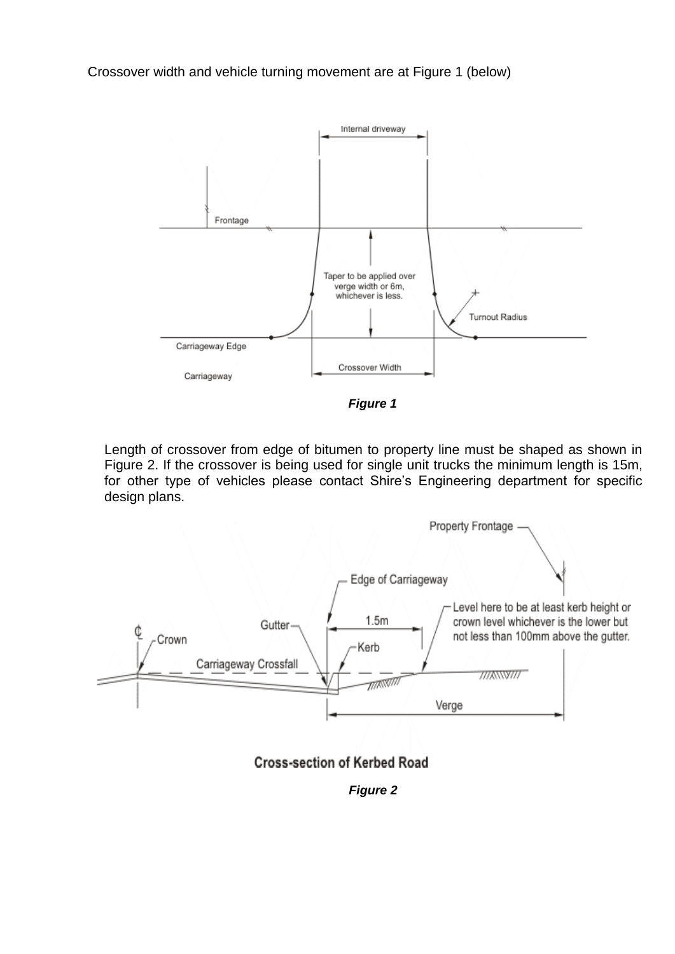Crossover width and vehicle turning movement are at Figure 1 (below)



*Figure 1*

Length of crossover from edge of bitumen to property line must be shaped as shown in Figure 2. If the crossover is being used for single unit trucks the minimum length is 15m, for other type of vehicles please contact Shire's Engineering department for specific design plans.





*Figure 2*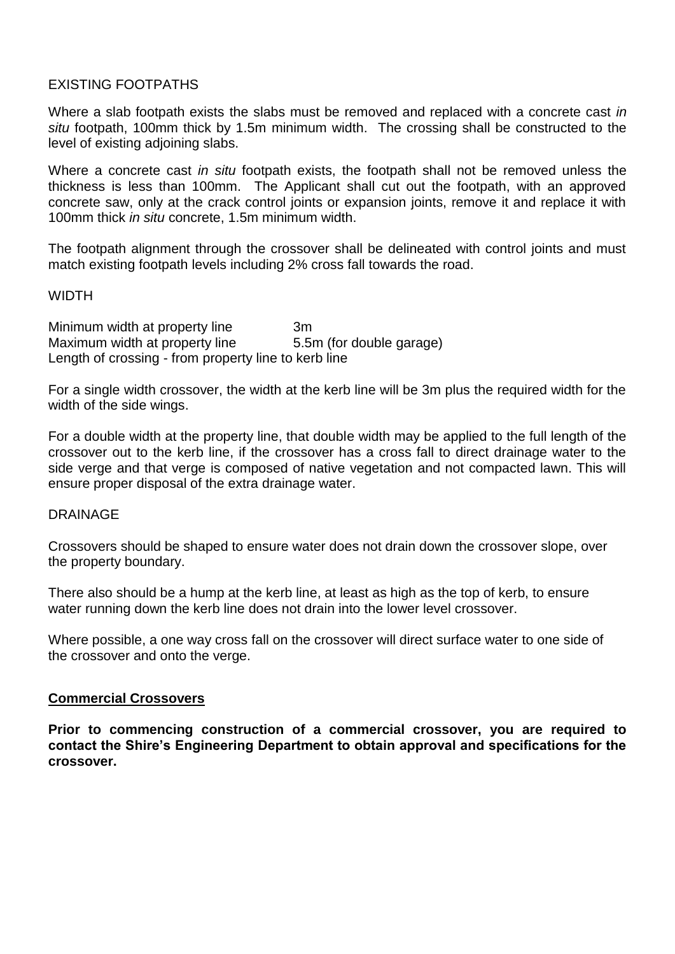## EXISTING FOOTPATHS

Where a slab footpath exists the slabs must be removed and replaced with a concrete cast *in situ* footpath, 100mm thick by 1.5m minimum width. The crossing shall be constructed to the level of existing adjoining slabs.

Where a concrete cast *in situ* footpath exists, the footpath shall not be removed unless the thickness is less than 100mm. The Applicant shall cut out the footpath, with an approved concrete saw, only at the crack control joints or expansion joints, remove it and replace it with 100mm thick *in situ* concrete, 1.5m minimum width.

The footpath alignment through the crossover shall be delineated with control joints and must match existing footpath levels including 2% cross fall towards the road.

### **WIDTH**

Minimum width at property line 3m Maximum width at property line 5.5m (for double garage) Length of crossing - from property line to kerb line

For a single width crossover, the width at the kerb line will be 3m plus the required width for the width of the side wings.

For a double width at the property line, that double width may be applied to the full length of the crossover out to the kerb line, if the crossover has a cross fall to direct drainage water to the side verge and that verge is composed of native vegetation and not compacted lawn. This will ensure proper disposal of the extra drainage water.

#### DRAINAGE

Crossovers should be shaped to ensure water does not drain down the crossover slope, over the property boundary.

There also should be a hump at the kerb line, at least as high as the top of kerb, to ensure water running down the kerb line does not drain into the lower level crossover.

Where possible, a one way cross fall on the crossover will direct surface water to one side of the crossover and onto the verge.

#### **Commercial Crossovers**

**Prior to commencing construction of a commercial crossover, you are required to contact the Shire's Engineering Department to obtain approval and specifications for the crossover.**